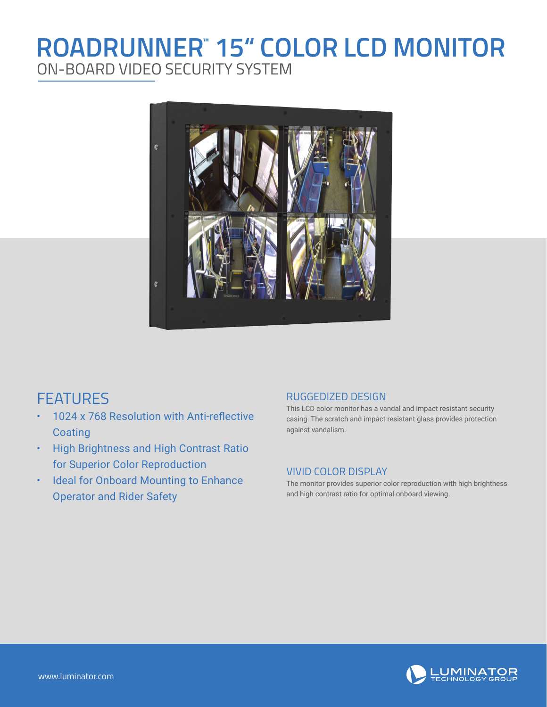# **ROADRUNNER" 15" COLOR LCD MONITOR** ON-BOARD VIDEO SECURITY SYSTEM



### FEATURES

- 1024 x 768 Resolution with Anti-reflective **Coating**
- High Brightness and High Contrast Ratio for Superior Color Reproduction
- Ideal for Onboard Mounting to Enhance Operator and Rider Safety

#### RUGGEDIZED DESIGN

This LCD color monitor has a vandal and impact resistant security casing. The scratch and impact resistant glass provides protection against vandalism.

#### VIVID COLOR DISPLAY

The monitor provides superior color reproduction with high brightness and high contrast ratio for optimal onboard viewing.